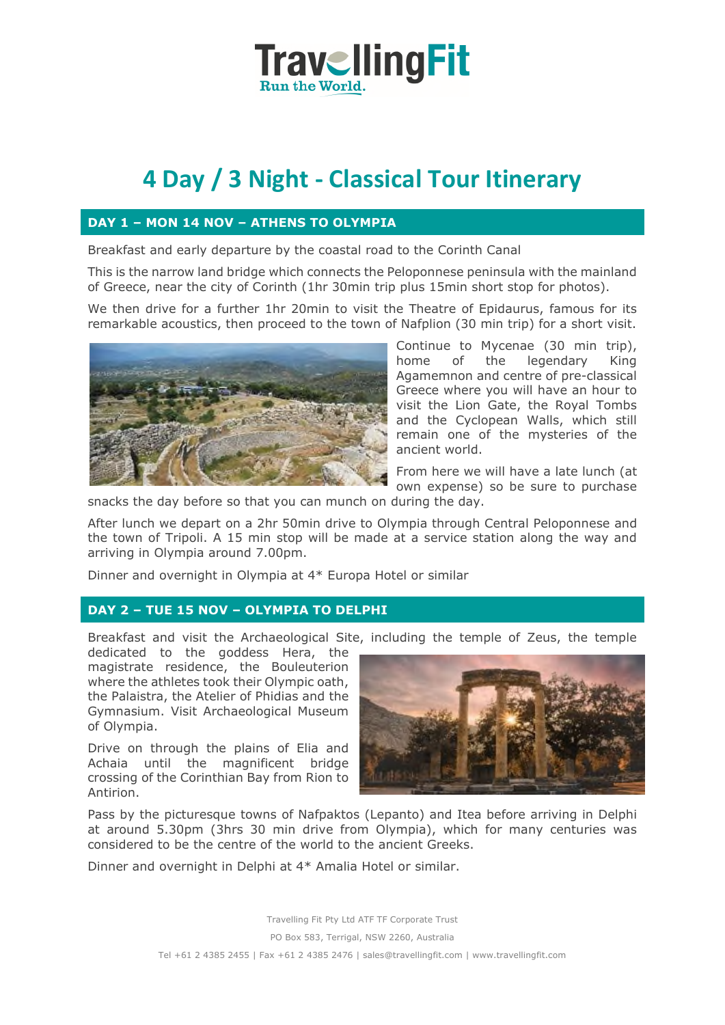## **TravellingFit Run the World**

# **4 Day / 3 Night - Classical Tour Itinerary**

## **DAY 1 – MON 14 NOV – ATHENS TO OLYMPIA**

Breakfast and early departure by the coastal road to the Corinth Canal

This is the narrow land bridge which connects the Peloponnese peninsula with the mainland of Greece, near the city of Corinth (1hr 30min trip plus 15min short stop for photos).

We then drive for a further 1hr 20min to visit the Theatre of Epidaurus, famous for its remarkable acoustics, then proceed to the town of Nafplion (30 min trip) for a short visit.



Continue to Mycenae (30 min trip), home of the legendary King Agamemnon and centre of pre-classical Greece where you will have an hour to visit the Lion Gate, the Royal Tombs and the Cyclopean Walls, which still remain one of the mysteries of the ancient world.

From here we will have a late lunch (at own expense) so be sure to purchase

snacks the day before so that you can munch on during the day.

After lunch we depart on a 2hr 50min drive to Olympia through Central Peloponnese and the town of Tripoli. A 15 min stop will be made at a service station along the way and arriving in Olympia around 7.00pm.

Dinner and overnight in Olympia at 4\* Europa Hotel or similar

## **DAY 2 – TUE 15 NOV – OLYMPIA TO DELPHI**

Breakfast and visit the Archaeological Site, including the temple of Zeus, the temple

dedicated to the goddess Hera, the magistrate residence, the Bouleuterion where the athletes took their Olympic oath, the Palaistra, the Atelier of Phidias and the Gymnasium. Visit Archaeological Museum of Olympia.

Drive on through the plains of Elia and Achaia until the magnificent bridge crossing of the Corinthian Bay from Rion to Antirion.



Pass by the picturesque towns of Nafpaktos (Lepanto) and Itea before arriving in Delphi at around 5.30pm (3hrs 30 min drive from Olympia), which for many centuries was considered to be the centre of the world to the ancient Greeks.

Dinner and overnight in Delphi at 4\* Amalia Hotel or similar.

Travelling Fit Pty Ltd ATF TF Corporate Trust PO Box 583, Terrigal, NSW 2260, Australia Tel +61 2 4385 2455 | Fax +61 2 4385 2476 | sales@travellingfit.com | www.travellingfit.com